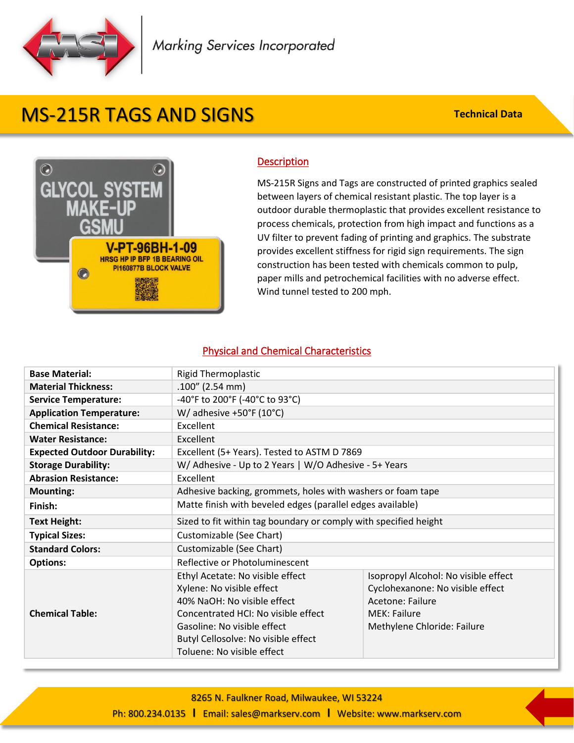

## MS-215R TAGS AND SIGNS

**Technical Data**



## **Description**

MS-215R Signs and Tags are constructed of printed graphics sealed between layers of chemical resistant plastic. The top layer is a outdoor durable thermoplastic that provides excellent resistance to process chemicals, protection from high impact and functions as a UV filter to prevent fading of printing and graphics. The substrate provides excellent stiffness for rigid sign requirements. The sign construction has been tested with chemicals common to pulp, paper mills and petrochemical facilities with no adverse effect. Wind tunnel tested to 200 mph.

## Physical and Chemical Characteristics

| <b>Base Material:</b>               | <b>Rigid Thermoplastic</b>                                       |                                      |  |
|-------------------------------------|------------------------------------------------------------------|--------------------------------------|--|
| <b>Material Thickness:</b>          | $.100''$ (2.54 mm)                                               |                                      |  |
| <b>Service Temperature:</b>         | -40°F to 200°F (-40°C to 93°C)                                   |                                      |  |
| <b>Application Temperature:</b>     | W/ adhesive $+50^{\circ}F(10^{\circ}C)$                          |                                      |  |
| <b>Chemical Resistance:</b>         | Excellent                                                        |                                      |  |
| <b>Water Resistance:</b>            | Excellent                                                        |                                      |  |
| <b>Expected Outdoor Durability:</b> | Excellent (5+ Years). Tested to ASTM D 7869                      |                                      |  |
| <b>Storage Durability:</b>          | W/ Adhesive - Up to 2 Years   W/O Adhesive - 5+ Years            |                                      |  |
| <b>Abrasion Resistance:</b>         | Excellent                                                        |                                      |  |
| <b>Mounting:</b>                    | Adhesive backing, grommets, holes with washers or foam tape      |                                      |  |
| Finish:                             | Matte finish with beveled edges (parallel edges available)       |                                      |  |
| <b>Text Height:</b>                 | Sized to fit within tag boundary or comply with specified height |                                      |  |
| <b>Typical Sizes:</b>               | Customizable (See Chart)                                         |                                      |  |
| <b>Standard Colors:</b>             | Customizable (See Chart)                                         |                                      |  |
| <b>Options:</b>                     | Reflective or Photoluminescent                                   |                                      |  |
|                                     | Ethyl Acetate: No visible effect                                 | Isopropyl Alcohol: No visible effect |  |
|                                     | Xylene: No visible effect                                        | Cyclohexanone: No visible effect     |  |
|                                     | 40% NaOH: No visible effect                                      | Acetone: Failure                     |  |
| <b>Chemical Table:</b>              | Concentrated HCI: No visible effect                              | <b>MEK: Failure</b>                  |  |
|                                     | Gasoline: No visible effect                                      | Methylene Chloride: Failure          |  |
|                                     | Butyl Cellosolve: No visible effect                              |                                      |  |
|                                     | Toluene: No visible effect                                       |                                      |  |